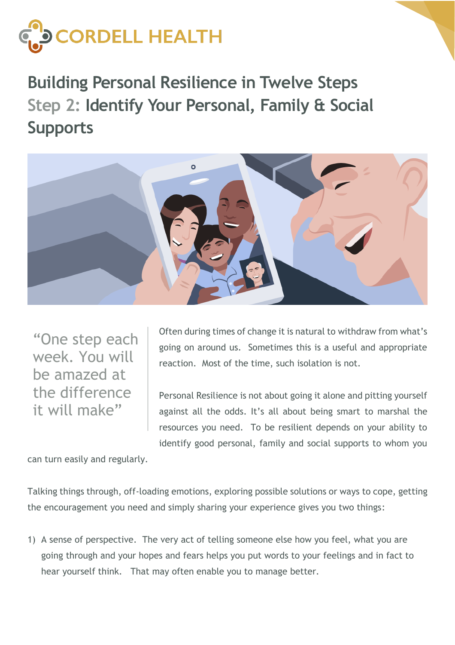

**Building Personal Resilience in Twelve Steps Step 2: Identify Your Personal, Family & Social Supports**



"One step each week. You will be amazed at the difference it will make"

Often during times of change it is natural to withdraw from what's going on around us. Sometimes this is a useful and appropriate reaction. Most of the time, such isolation is not.

Personal Resilience is not about going it alone and pitting yourself against all the odds. It's all about being smart to marshal the resources you need. To be resilient depends on your ability to identify good personal, family and social supports to whom you

can turn easily and regularly.

Talking things through, off-loading emotions, exploring possible solutions or ways to cope, getting the encouragement you need and simply sharing your experience gives you two things:

1) A sense of perspective. The very act of telling someone else how you feel, what you are going through and your hopes and fears helps you put words to your feelings and in fact to hear yourself think. That may often enable you to manage better.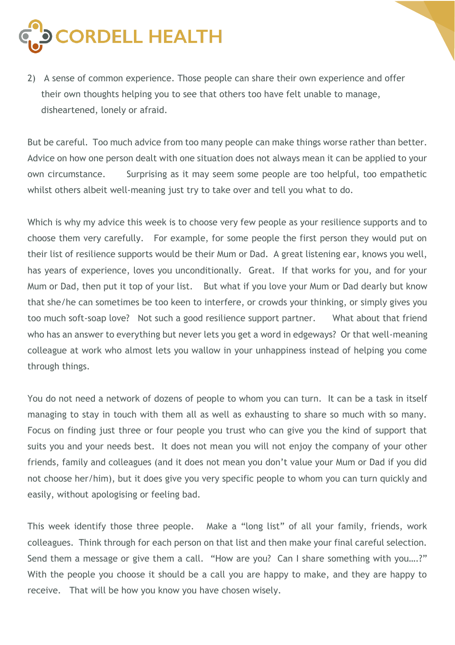

2) A sense of common experience. Those people can share their own experience and offer their own thoughts helping you to see that others too have felt unable to manage, disheartened, lonely or afraid.

But be careful. Too much advice from too many people can make things worse rather than better. Advice on how one person dealt with one situation does not always mean it can be applied to your own circumstance. Surprising as it may seem some people are too helpful, too empathetic whilst others albeit well-meaning just try to take over and tell you what to do.

Which is why my advice this week is to choose very few people as your resilience supports and to choose them very carefully. For example, for some people the first person they would put on their list of resilience supports would be their Mum or Dad. A great listening ear, knows you well, has years of experience, loves you unconditionally. Great. If that works for you, and for your Mum or Dad, then put it top of your list. But what if you love your Mum or Dad dearly but know that she/he can sometimes be too keen to interfere, or crowds your thinking, or simply gives you too much soft-soap love? Not such a good resilience support partner. What about that friend who has an answer to everything but never lets you get a word in edgeways? Or that well-meaning colleague at work who almost lets you wallow in your unhappiness instead of helping you come through things.

You do not need a network of dozens of people to whom you can turn. It can be a task in itself managing to stay in touch with them all as well as exhausting to share so much with so many. Focus on finding just three or four people you trust who can give you the kind of support that suits you and your needs best. It does not mean you will not enjoy the company of your other friends, family and colleagues (and it does not mean you don't value your Mum or Dad if you did not choose her/him), but it does give you very specific people to whom you can turn quickly and easily, without apologising or feeling bad.

This week identify those three people. Make a "long list" of all your family, friends, work colleagues. Think through for each person on that list and then make your final careful selection. Send them a message or give them a call. "How are you? Can I share something with you....?" With the people you choose it should be a call you are happy to make, and they are happy to receive. That will be how you know you have chosen wisely.